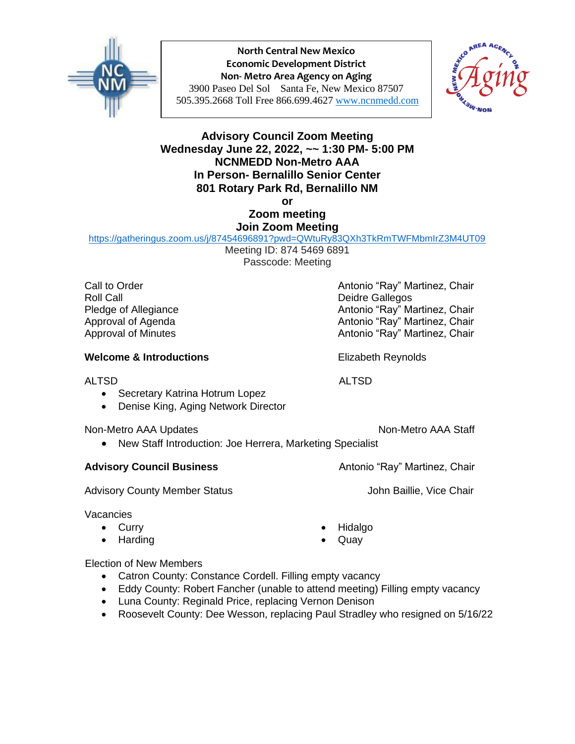

**North Central New Mexico Economic Development District Non- Metro Area Agency on Aging** 3900 Paseo Del Sol Santa Fe, New Mexico 87507 505.395.2668 Toll Free 866.699.4627 [www.ncnmedd.com](http://www.ncnmedd.com/)



## **Advisory Council Zoom Meeting Wednesday June 22, 2022, ~~ 1:30 PM- 5:00 PM NCNMEDD Non-Metro AAA In Person- Bernalillo Senior Center 801 Rotary Park Rd, Bernalillo NM or**

**Zoom meeting Join Zoom Meeting**

<https://gatheringus.zoom.us/j/87454696891?pwd=QWtuRy83QXh3TkRmTWFMbmIrZ3M4UT09> Meeting ID: 874 5469 6891

Passcode: Meeting

Call to Order **Antonio "Ray" Martinez, Chair** Antonio "Ray" Martinez, Chair Roll Call **Deidre Gallegos Deidre Gallegos** 

# **Welcome & Introductions Elizabeth Reynolds**

### ALTSD ALTSD

- Secretary Katrina Hotrum Lopez
- Denise King, Aging Network Director

Non-Metro AAA Updates Non-Metro AAA Staff

• New Staff Introduction: Joe Herrera, Marketing Specialist

### **Advisory Council Business** Antonio "Ray" Martinez, Chair

Advisory County Member Status **Advisory County Member Status** John Baillie, Vice Chair

### Vacancies

- Curry
- Harding

Pledge of Allegiance **Antonio** "Ray" Martinez, Chair Approval of Agenda Antonio "Ray" Martinez, Chair Approval of Minutes Antonio "Ray" Martinez, Chair

- Hidalgo
- Quay

### Election of New Members

- Catron County: Constance Cordell. Filling empty vacancy
- Eddy County: Robert Fancher (unable to attend meeting) Filling empty vacancy
- Luna County: Reginald Price, replacing Vernon Denison
- Roosevelt County: Dee Wesson, replacing Paul Stradley who resigned on 5/16/22